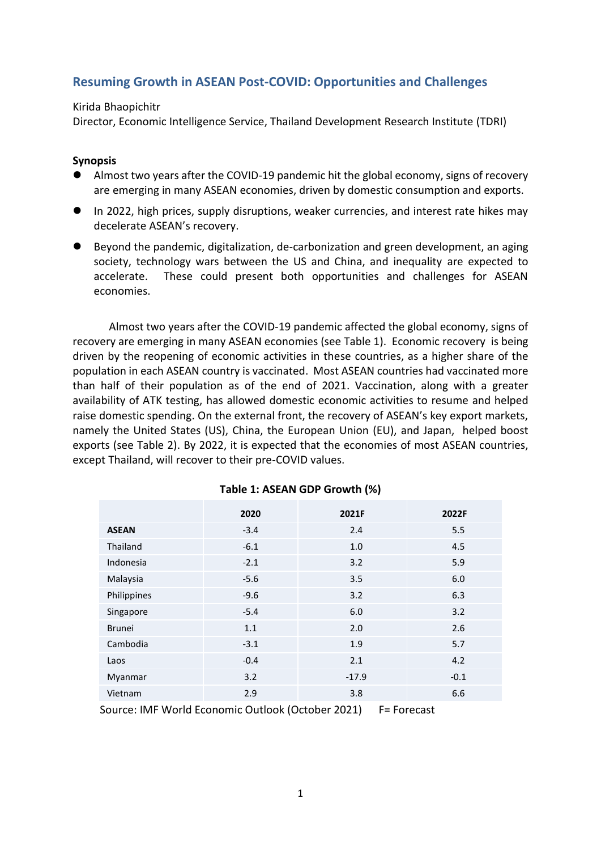# **Resuming Growth in ASEAN Post-COVID: Opportunities and Challenges**

## Kirida Bhaopichitr

Director, Economic Intelligence Service, Thailand Development Research Institute (TDRI)

# **Synopsis**

- ⚫ Almost two years after the COVID-19 pandemic hit the global economy, signs of recovery are emerging in many ASEAN economies, driven by domestic consumption and exports.
- ⚫ In 2022, high prices, supply disruptions, weaker currencies, and interest rate hikes may decelerate ASEAN's recovery.
- ⚫ Beyond the pandemic, digitalization, de-carbonization and green development, an aging society, technology wars between the US and China, and inequality are expected to accelerate. These could present both opportunities and challenges for ASEAN economies.

Almost two years after the COVID-19 pandemic affected the global economy, signs of recovery are emerging in many ASEAN economies (see Table 1). Economic recovery is being driven by the reopening of economic activities in these countries, as a higher share of the population in each ASEAN country is vaccinated. Most ASEAN countries had vaccinated more than half of their population as of the end of 2021. Vaccination, along with a greater availability of ATK testing, has allowed domestic economic activities to resume and helped raise domestic spending. On the external front, the recovery of ASEAN's key export markets, namely the United States (US), China, the European Union (EU), and Japan, helped boost exports (see Table 2). By 2022, it is expected that the economies of most ASEAN countries, except Thailand, will recover to their pre-COVID values.

|               | 2020   | 2021F   | 2022F  |  |  |
|---------------|--------|---------|--------|--|--|
| <b>ASEAN</b>  | $-3.4$ | 2.4     | 5.5    |  |  |
| Thailand      | $-6.1$ | 1.0     | 4.5    |  |  |
| Indonesia     | $-2.1$ | 3.2     | 5.9    |  |  |
| Malaysia      | $-5.6$ | 3.5     | 6.0    |  |  |
| Philippines   | $-9.6$ | 3.2     | 6.3    |  |  |
| Singapore     | $-5.4$ | 6.0     | 3.2    |  |  |
| <b>Brunei</b> | 1.1    | 2.0     | 2.6    |  |  |
| Cambodia      | $-3.1$ | 1.9     | 5.7    |  |  |
| Laos          | $-0.4$ | 2.1     | 4.2    |  |  |
| Myanmar       | 3.2    | $-17.9$ | $-0.1$ |  |  |
| Vietnam       | 2.9    | 3.8     | 6.6    |  |  |
|               |        |         |        |  |  |

# **Table 1: ASEAN GDP Growth (%)**

Source: IMF World Economic Outlook (October 2021) F= Forecast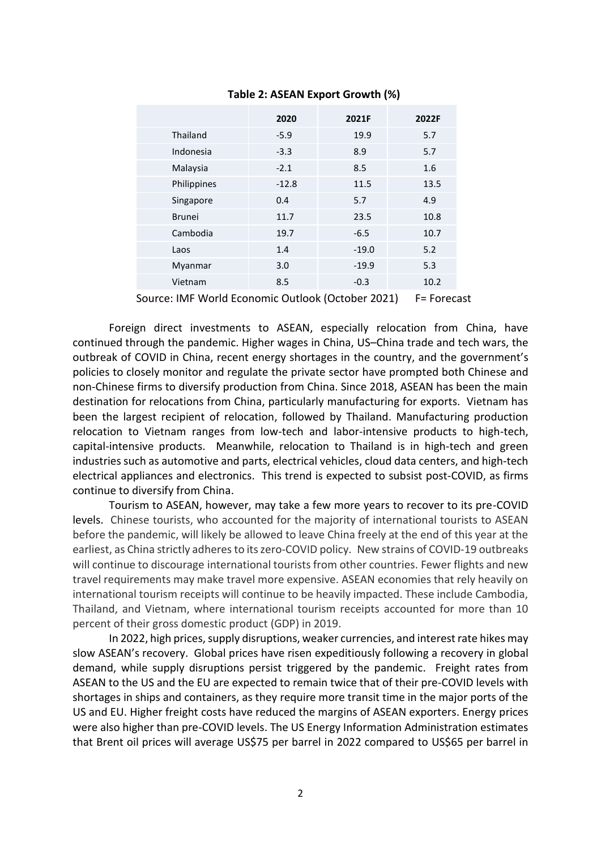|               | 2020    | 2021F   | 2022F |
|---------------|---------|---------|-------|
| Thailand      | $-5.9$  | 19.9    | 5.7   |
| Indonesia     | $-3.3$  | 8.9     | 5.7   |
| Malaysia      | $-2.1$  | 8.5     | 1.6   |
| Philippines   | $-12.8$ | 11.5    | 13.5  |
| Singapore     | 0.4     | 5.7     | 4.9   |
| <b>Brunei</b> | 11.7    | 23.5    | 10.8  |
| Cambodia      | 19.7    | $-6.5$  | 10.7  |
| Laos          | 1.4     | $-19.0$ | 5.2   |
| Myanmar       | 3.0     | $-19.9$ | 5.3   |
| Vietnam       | 8.5     | $-0.3$  | 10.2  |

#### **Table 2: ASEAN Export Growth (%)**

Source: IMF World Economic Outlook (October 2021) F= Forecast

Foreign direct investments to ASEAN, especially relocation from China, have continued through the pandemic. Higher wages in China, US–China trade and tech wars, the outbreak of COVID in China, recent energy shortages in the country, and the government's policies to closely monitor and regulate the private sector have prompted both Chinese and non-Chinese firms to diversify production from China. Since 2018, ASEAN has been the main destination for relocations from China, particularly manufacturing for exports. Vietnam has been the largest recipient of relocation, followed by Thailand. Manufacturing production relocation to Vietnam ranges from low-tech and labor-intensive products to high-tech, capital-intensive products. Meanwhile, relocation to Thailand is in high-tech and green industries such as automotive and parts, electrical vehicles, cloud data centers, and high-tech electrical appliances and electronics. This trend is expected to subsist post-COVID, as firms continue to diversify from China.

Tourism to ASEAN, however, may take a few more years to recover to its pre-COVID levels. Chinese tourists, who accounted for the majority of international tourists to ASEAN before the pandemic, will likely be allowed to leave China freely at the end of this year at the earliest, as China strictly adheresto its zero-COVID policy. New strains of COVID-19 outbreaks will continue to discourage international tourists from other countries. Fewer flights and new travel requirements may make travel more expensive. ASEAN economies that rely heavily on international tourism receipts will continue to be heavily impacted. These include Cambodia, Thailand, and Vietnam, where international tourism receipts accounted for more than 10 percent of their gross domestic product (GDP) in 2019.

In 2022, high prices, supply disruptions, weaker currencies, and interest rate hikes may slow ASEAN's recovery. Global prices have risen expeditiously following a recovery in global demand, while supply disruptions persist triggered by the pandemic. Freight rates from ASEAN to the US and the EU are expected to remain twice that of their pre-COVID levels with shortages in ships and containers, as they require more transit time in the major ports of the US and EU. Higher freight costs have reduced the margins of ASEAN exporters. Energy prices were also higher than pre-COVID levels. The US Energy Information Administration estimates that Brent oil prices will average US\$75 per barrel in 2022 compared to US\$65 per barrel in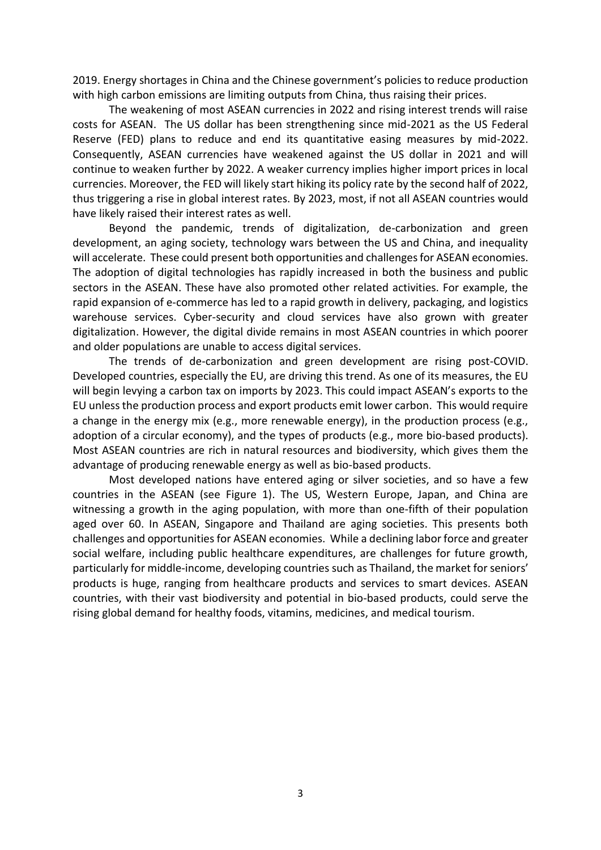2019. Energy shortages in China and the Chinese government's policies to reduce production with high carbon emissions are limiting outputs from China, thus raising their prices.

The weakening of most ASEAN currencies in 2022 and rising interest trends will raise costs for ASEAN. The US dollar has been strengthening since mid-2021 as the US Federal Reserve (FED) plans to reduce and end its quantitative easing measures by mid-2022. Consequently, ASEAN currencies have weakened against the US dollar in 2021 and will continue to weaken further by 2022. A weaker currency implies higher import prices in local currencies. Moreover, the FED will likely start hiking its policy rate by the second half of 2022, thus triggering a rise in global interest rates. By 2023, most, if not all ASEAN countries would have likely raised their interest rates as well.

Beyond the pandemic, trends of digitalization, de-carbonization and green development, an aging society, technology wars between the US and China, and inequality will accelerate. These could present both opportunities and challenges for ASEAN economies. The adoption of digital technologies has rapidly increased in both the business and public sectors in the ASEAN. These have also promoted other related activities. For example, the rapid expansion of e-commerce has led to a rapid growth in delivery, packaging, and logistics warehouse services. Cyber-security and cloud services have also grown with greater digitalization. However, the digital divide remains in most ASEAN countries in which poorer and older populations are unable to access digital services.

The trends of de-carbonization and green development are rising post-COVID. Developed countries, especially the EU, are driving this trend. As one of its measures, the EU will begin levying a carbon tax on imports by 2023. This could impact ASEAN's exports to the EU unless the production process and export products emit lower carbon. This would require a change in the energy mix (e.g., more renewable energy), in the production process (e.g., adoption of a circular economy), and the types of products (e.g., more bio-based products). Most ASEAN countries are rich in natural resources and biodiversity, which gives them the advantage of producing renewable energy as well as bio-based products.

Most developed nations have entered aging or silver societies, and so have a few countries in the ASEAN (see Figure 1). The US, Western Europe, Japan, and China are witnessing a growth in the aging population, with more than one-fifth of their population aged over 60. In ASEAN, Singapore and Thailand are aging societies. This presents both challenges and opportunities for ASEAN economies. While a declining labor force and greater social welfare, including public healthcare expenditures, are challenges for future growth, particularly for middle-income, developing countries such as Thailand, the market for seniors' products is huge, ranging from healthcare products and services to smart devices. ASEAN countries, with their vast biodiversity and potential in bio-based products, could serve the rising global demand for healthy foods, vitamins, medicines, and medical tourism.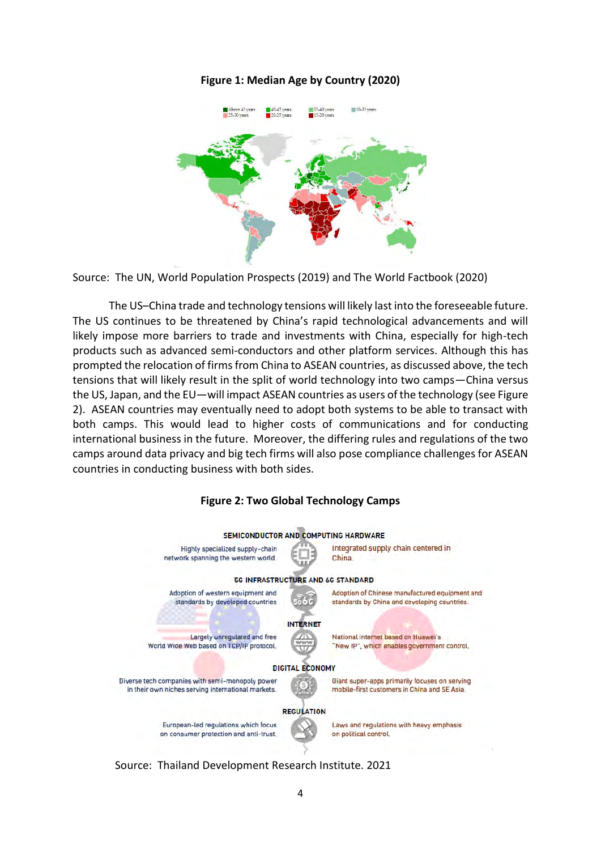### **Figure 1: Median Age by Country (2020)**



Source: The UN, World Population Prospects (2019) and The World Factbook (2020)

The US–China trade and technology tensions will likely last into the foreseeable future. The US continues to be threatened by China's rapid technological advancements and will likely impose more barriers to trade and investments with China, especially for high-tech products such as advanced semi-conductors and other platform services. Although this has prompted the relocation of firms from China to ASEAN countries, as discussed above, the tech tensions that will likely result in the split of world technology into two camps—China versus the US, Japan, and the EU—will impact ASEAN countries as users of the technology (see Figure 2). ASEAN countries may eventually need to adopt both systems to be able to transact with both camps. This would lead to higher costs of communications and for conducting international business in the future. Moreover, the differing rules and regulations of the two camps around data privacy and big tech firms will also pose compliance challenges for ASEAN countries in conducting business with both sides.



**Figure 2: Two Global Technology Camps**

Source: Thailand Development Research Institute. 2021